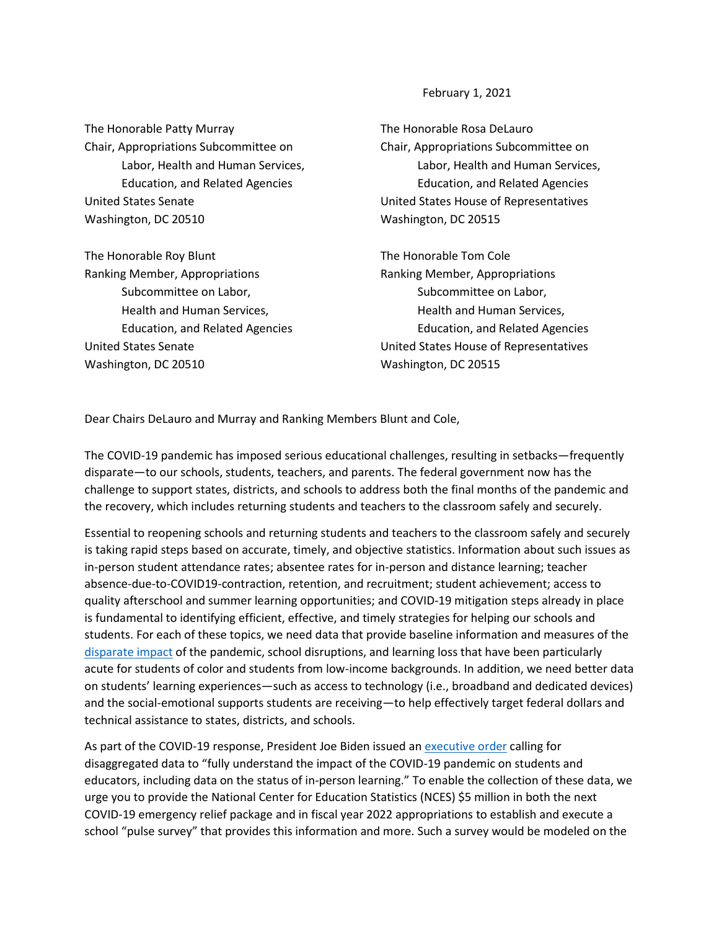February 1, 2021

The Honorable Patty Murray Chair, Appropriations Subcommittee on Labor, Health and Human Services, Education, and Related Agencies United States Senate Washington, DC 20510

The Honorable Roy Blunt Ranking Member, Appropriations Subcommittee on Labor, Health and Human Services, Education, and Related Agencies United States Senate Washington, DC 20510

The Honorable Rosa DeLauro Chair, Appropriations Subcommittee on Labor, Health and Human Services, Education, and Related Agencies United States House of Representatives Washington, DC 20515

The Honorable Tom Cole Ranking Member, Appropriations Subcommittee on Labor, Health and Human Services, Education, and Related Agencies United States House of Representatives Washington, DC 20515

Dear Chairs DeLauro and Murray and Ranking Members Blunt and Cole,

The COVID-19 pandemic has imposed serious educational challenges, resulting in setbacks—frequently disparate—to our schools, students, teachers, and parents. The federal government now has the challenge to support states, districts, and schools to address both the final months of the pandemic and the recovery, which includes returning students and teachers to the classroom safely and securely.

Essential to reopening schools and returning students and teachers to the classroom safely and securely is taking rapid steps based on accurate, timely, and objective statistics. Information about such issues as in-person student attendance rates; absentee rates for in-person and distance learning; teacher absence-due-to-COVID19-contraction, retention, and recruitment; student achievement; access to quality afterschool and summer learning opportunities; and COVID-19 mitigation steps already in place is fundamental to identifying efficient, effective, and timely strategies for helping our schools and students. For each of these topics, we need data that provide baseline information and measures of the [disparate impact](https://www.mckinsey.com/industries/public-and-social-sector/our-insights/covid-19-and-student-learning-in-the-united-states-the-hurt-could-last-a-lifetime) of the pandemic, school disruptions, and learning loss that have been particularly acute for students of color and students from low-income backgrounds. In addition, we need better data on students' learning experiences—such as access to technology (i.e., broadband and dedicated devices) and the social-emotional supports students are receiving—to help effectively target federal dollars and technical assistance to states, districts, and schools.

As part of the COVID-19 response, President Joe Biden issued a[n executive order](https://www.whitehouse.gov/briefing-room/presidential-actions/2021/01/21/executive-order-supporting-the-reopening-and-continuing-operation-of-schools-and-early-childhood-education-providers/) calling for disaggregated data to "fully understand the impact of the COVID-19 pandemic on students and educators, including data on the status of in-person learning." To enable the collection of these data, we urge you to provide the National Center for Education Statistics (NCES) \$5 million in both the next COVID-19 emergency relief package and in fiscal year 2022 appropriations to establish and execute a school "pulse survey" that provides this information and more. Such a survey would be modeled on the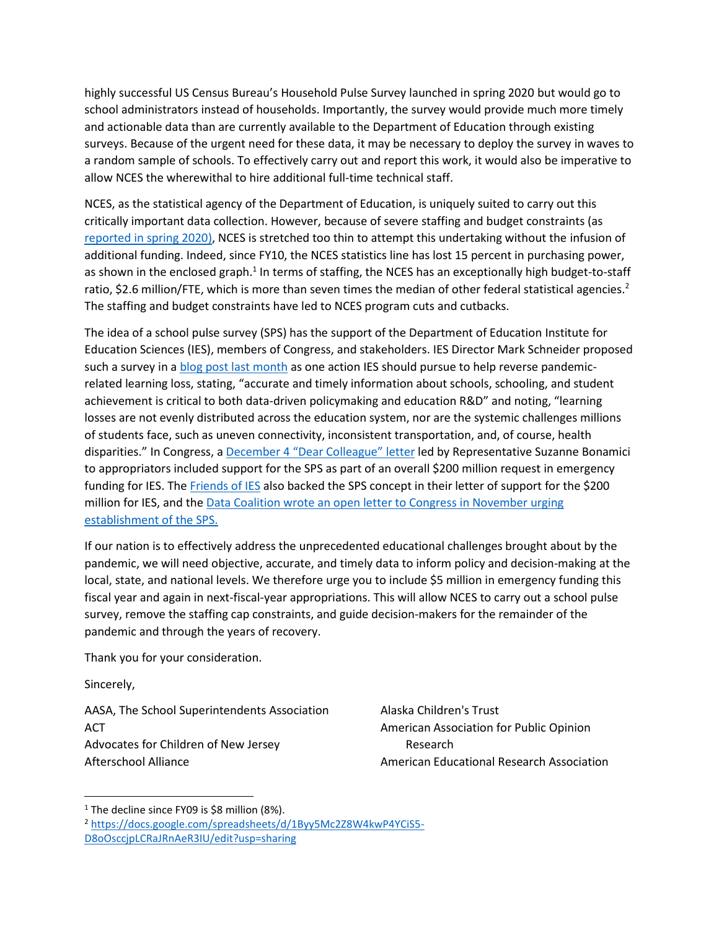highly successful US Census Bureau's Household Pulse Survey launched in spring 2020 but would go to school administrators instead of households. Importantly, the survey would provide much more timely and actionable data than are currently available to the Department of Education through existing surveys. Because of the urgent need for these data, it may be necessary to deploy the survey in waves to a random sample of schools. To effectively carry out and report this work, it would also be imperative to allow NCES the wherewithal to hire additional full-time technical staff.

NCES, as the statistical agency of the Department of Education, is uniquely suited to carry out this critically important data collection. However, because of severe staffing and budget constraints (as [reported in spring 2020\)](https://www.washingtonpost.com/education/2020/03/31/understaffing-threatens-work-key-us-education-statistics-agency-experts-say/), NCES is stretched too thin to attempt this undertaking without the infusion of additional funding. Indeed, since FY10, the NCES statistics line has lost 15 percent in purchasing power, as shown in the enclosed graph.<sup>1</sup> In terms of staffing, the NCES has an exceptionally high budget-to-staff ratio, \$2.6 million/FTE, which is more than seven times the median of other federal statistical agencies.<sup>2</sup> The staffing and budget constraints have led to NCES program cuts and cutbacks.

The idea of a school pulse survey (SPS) has the support of the Department of Education Institute for Education Sciences (IES), members of Congress, and stakeholders. IES Director Mark Schneider proposed such a survey in a [blog post last month](https://ies.ed.gov/director/remarks/12-9-2020.asp) as one action IES should pursue to help reverse pandemicrelated learning loss, stating, "accurate and timely information about schools, schooling, and student achievement is critical to both data-driven policymaking and education R&D" and noting, "learning losses are not evenly distributed across the education system, nor are the systemic challenges millions of students face, such as uneven connectivity, inconsistent transportation, and, of course, health disparities." In Congress, [a December 4](https://www.aera.net/Portals/38/IES%20COVID%20Relief_FINAL.pdf) "Dear Colleague" letter led by Representative Suzanne Bonamici to appropriators included support for the SPS as part of an overall \$200 million request in emergency funding for IES. Th[e Friends of IES](https://www.aera.net/Portals/38/Friends%20of%20IES%20letter%20-%20COVID19%20emergency%20funding%20%28FINAL%29.pdf) also backed the SPS concept in their letter of support for the \$200 million for IES, and the Data Coalition wrote an open letter to Congress in November urging [establishment of the SPS.](http://www.datacoalition.org/wp-content/uploads/2020/11/Data-Coalition-Letter-on-School-Pulse-Survey-11-19-2020.pdf)

If our nation is to effectively address the unprecedented educational challenges brought about by the pandemic, we will need objective, accurate, and timely data to inform policy and decision-making at the local, state, and national levels. We therefore urge you to include \$5 million in emergency funding this fiscal year and again in next-fiscal-year appropriations. This will allow NCES to carry out a school pulse survey, remove the staffing cap constraints, and guide decision-makers for the remainder of the pandemic and through the years of recovery.

Thank you for your consideration.

Sincerely,

AASA, The School Superintendents Association ACT Advocates for Children of New Jersey Afterschool Alliance

Alaska Children's Trust American Association for Public Opinion Research American Educational Research Association

<sup>&</sup>lt;sup>1</sup> The decline since FY09 is \$8 million (8%).

<sup>2</sup> [https://docs.google.com/spreadsheets/d/1Byy5Mc2Z8W4kwP4YCiS5-](https://docs.google.com/spreadsheets/d/1Byy5Mc2Z8W4kwP4YCiS5-D8oOsccjpLCRaJRnAeR3IU/edit?usp=sharing) [D8oOsccjpLCRaJRnAeR3IU/edit?usp=sharing](https://docs.google.com/spreadsheets/d/1Byy5Mc2Z8W4kwP4YCiS5-D8oOsccjpLCRaJRnAeR3IU/edit?usp=sharing)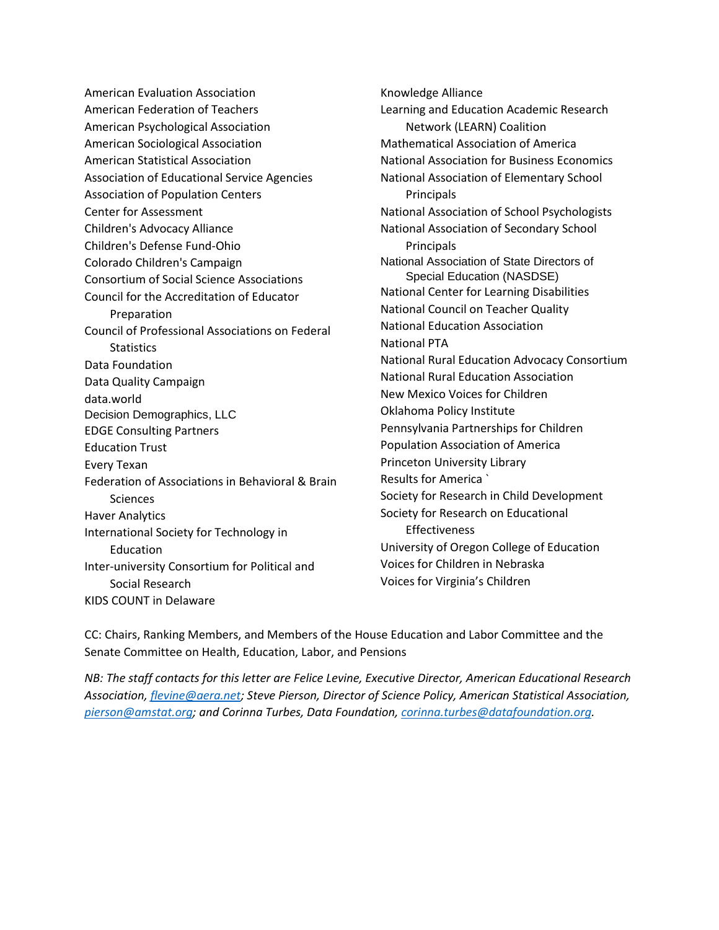American Evaluation Association American Federation of Teachers American Psychological Association American Sociological Association American Statistical Association Association of Educational Service Agencies Association of Population Centers Center for Assessment Children's Advocacy Alliance Children's Defense Fund-Ohio Colorado Children's Campaign Consortium of Social Science Associations Council for the Accreditation of Educator Preparation Council of Professional Associations on Federal **Statistics** Data Foundation Data Quality Campaign data.world Decision Demographics, LLC EDGE Consulting Partners Education Trust Every Texan Federation of Associations in Behavioral & Brain **Sciences** Haver Analytics International Society for Technology in Education Inter-university Consortium for Political and Social Research KIDS COUNT in Delaware

Knowledge Alliance Learning and Education Academic Research Network (LEARN) Coalition Mathematical Association of America National Association for Business Economics National Association of Elementary School Principals National Association of School Psychologists National Association of Secondary School Principals National Association of State Directors of Special Education (NASDSE) National Center for Learning Disabilities National Council on Teacher Quality National Education Association National PTA National Rural Education Advocacy Consortium National Rural Education Association New Mexico Voices for Children Oklahoma Policy Institute Pennsylvania Partnerships for Children Population Association of America Princeton University Library Results for America ` Society for Research in Child Development Society for Research on Educational Effectiveness University of Oregon College of Education Voices for Children in Nebraska Voices for Virginia's Children

CC: Chairs, Ranking Members, and Members of the House Education and Labor Committee and the Senate Committee on Health, Education, Labor, and Pensions

*NB: The staff contacts for this letter are Felice Levine, Executive Director, American Educational Research Association, [flevine@aera.net;](mailto:flevine@aera.net) Steve Pierson, Director of Science Policy, American Statistical Association, [pierson@amstat.org;](mailto:pierson@amstat.org) and Corinna Turbes, Data Foundation, [corinna.turbes@datafoundation.org.](mailto:corinna.turbes@datafoundation.org)*